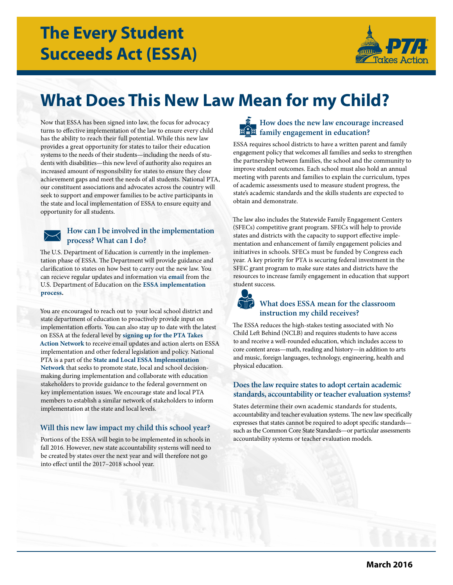

# **What Does This New Law Mean for my Child?**

Now that ESSA has been signed into law, the focus for advocacy turns to efective implementation of the law to ensure every child has the ability to reach their full potential. While this new law provides a great opportunity for states to tailor their education systems to the needs of their students—including the needs of students with disabilities—this new level of authority also requires an increased amount of responsibility for states to ensure they close achievement gaps and meet the needs of all students. National PTA, our constituent associations and advocates across the country will seek to support and empower families to be active participants in the state and local implementation of ESSA to ensure equity and opportunity for all students.

# **How can I be involved in the implementation process? What can I do?**

The U.S. Department of Education is currently in the implementation phase of ESSA. The Department will provide guidance and clarifcation to states on how best to carry out the new law. You can recieve regular updates and information via **[email](https://public.govdelivery.com/accounts/USED/subscriber/new?topic_id=USED_28)** from the U.S. Department of Education on the **[ESSA implementation](http://www.ed.gov/essa?src=rn)  [process.](http://www.ed.gov/essa?src=rn)** 

You are encouraged to reach out to your local school district and state department of education to proactively provide input on implementation efforts. You can also stay up to date with the latest on ESSA at the federal level by **[signing up for the PTA Takes](http://www.pta.org/advocacy/takesaction.cfm)  [Action Network](http://www.pta.org/advocacy/takesaction.cfm)** to receive email updates and action alerts on ESSA implementation and other federal legislation and policy. National PTA is a part of the **[State and Local ESSA Implementation](http://www.pta.org/files/Advocacy/ESSA Implementation Network Letter - FINAL.pdf)  [Network](http://www.pta.org/files/Advocacy/ESSA Implementation Network Letter - FINAL.pdf)** that seeks to promote state, local and school decisionmaking during implementation and collaborate with education stakeholders to provide guidance to the federal government on key implementation issues. We encourage state and local PTA members to establish a similar network of stakeholders to inform implementation at the state and local levels.

# **Will this new law impact my child this school year?**

Portions of the ESSA will begin to be implemented in schools in fall 2016. However, new state accountability systems will need to be created by states over the next year and will therefore not go into efect until the 2017–2018 school year.



ESSA requires school districts to have a written parent and family engagement policy that welcomes all families and seeks to strengthen the partnership between families, the school and the community to improve student outcomes. Each school must also hold an annual meeting with parents and families to explain the curriculum, types of academic assessments used to measure student progress, the state's academic standards and the skills students are expected to obtain and demonstrate.

The law also includes the Statewide Family Engagement Centers (SFECs) competitive grant program. SFECs will help to provide states and districts with the capacity to support efective implementation and enhancement of family engagement policies and initiatives in schools. SFECs must be funded by Congress each year. A key priority for PTA is securing federal investment in the SFEC grant program to make sure states and districts have the resources to increase family engagement in education that support student success.

# **What does ESSA mean for the classroom instruction my child receives?**

 physical education. The ESSA reduces the high-stakes testing associated with No Child Left Behind (NCLB) and requires students to have access to and receive a well-rounded education, which includes access to core content areas—math, reading and history—in addition to arts and music, foreign languages, technology, engineering, health and

# **Does the law require states to adopt certain academic standards, accountability or teacher evaluation systems?**

States determine their own academic standards for students, accountability and teacher evaluation systems. The new law specifically expresses that states cannot be required to adopt specifc standards such as the Common Core State Standards—or particular assessments accountability systems or teacher evaluation models.